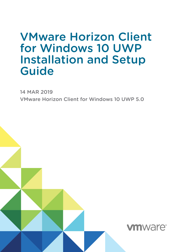## VMware Horizon Client for Windows 10 UWP Installation and Setup Guide

14 MAR 2019 VMware Horizon Client for Windows 10 UWP 5.0

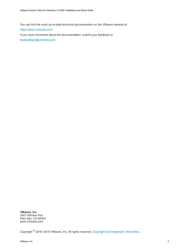You can find the most up-to-date technical documentation on the VMware website at:

<https://docs.vmware.com/>

If you have comments about this documentation, submit your feedback to

[docfeedback@vmware.com](mailto:docfeedback@vmware.com)

**VMware, Inc.** 3401 Hillview Ave. Palo Alto, CA 94304 www.vmware.com

Copyright <sup>©</sup> 2016–2018 VMware, Inc. All rights reserved. [Copyright and trademark information](http://pubs.vmware.com/copyright-trademark.html).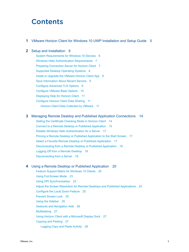## **Contents**

#### **1** [VMware Horizon Client for Windows 10 UWP Installation and Setup Guide 5](#page-4-0)

#### **2** [Setup and Installation 6](#page-5-0)

Sy[stem Requirements for Windows 10 Devices 6](#page-5-0) Wi[ndows Hello Authentication Requirements 7](#page-6-0) Pre[paring Connection Server for Horizon Client 7](#page-6-0) Su[pported Desktop Operating Systems 8](#page-7-0) Inst[all or Upgrade the VMware Horizon Client App 8](#page-7-0) Sa[ve Information About Recent Servers 9](#page-8-0) Co[nfigure Advanced TLS Options 9](#page-8-0) Co[nfigure VMware Blast Options 10](#page-9-0) Dis[playing Help for Horizon Client 11](#page-10-0) Co[nfigure Horizon Client Data Sharing 11](#page-10-0) Ho[rizon Client Data Collected by VMware 11](#page-10-0)

#### **3** [Managing Remote Desktop and Published Application Connections 14](#page-13-0)

Set[ting the Certificate Checking Mode in Horizon Client 14](#page-13-0) Co[nnect to a Remote Desktop or Published Application 15](#page-14-0) Dis[able Windows Hello Authentication for a Server 17](#page-16-0) Pin[ning a Remote Desktop or Published Application to the Start Screen 17](#page-16-0) Sel[ect a Favorite Remote Desktop or Published Application 17](#page-16-0) Dis[connecting from a Remote Desktop or Published Application 18](#page-17-0) Lo[gging Off from a Remote Desktop 18](#page-17-0) Dis[connecting from a Server 19](#page-18-0)

#### **4** [Using a Remote Desktop or Published Application 20](#page-19-0)

Fe[ature Support Matrix for Windows 10 Clients 20](#page-19-0) Usi[ng Full-Screen Mode 23](#page-22-0) Usi[ng DPI Synchronization 23](#page-22-0) Adj[ust the Screen Resolution for Remote Desktops and Published Applications 24](#page-23-0) Co[nfigure the Local Zoom Feature 25](#page-24-0) Pre[vent Screen Lock 25](#page-24-0) Usi[ng the Sidebar 25](#page-24-0) Ge[stures and Navigation Aids 26](#page-25-0) Mul[titasking 27](#page-26-0) Usi[ng Horizon Client with a Microsoft Display Dock 27](#page-26-0) Co[pying and Pasting 27](#page-26-0) Lo[gging Copy and Paste Activity 28](#page-27-0)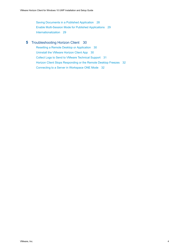Sa[ving Documents in a Published Application 28](#page-27-0) En[able Multi-Session Mode for Published Applications 29](#page-28-0) Int[ernationalization 29](#page-28-0)

#### **5** [Troubleshooting Horizon Client 30](#page-29-0)

Re[setting a Remote Desktop or Application 30](#page-29-0) Uni[nstall the VMware Horizon Client App 30](#page-29-0) Col[lect Logs to Send to VMware Technical Support 31](#page-30-0) Hor[izon Client Stops Responding or the Remote Desktop Freezes 32](#page-31-0) Co[nnecting to a Server in Workspace ONE Mode 32](#page-31-0)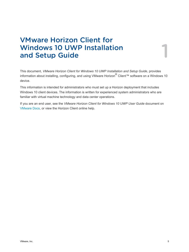# <span id="page-4-0"></span>VMware Horizon Client for Windows 10 UWP Installation<br>and Setup Guide<br>1

This document, *VMware Horizon Client for Windows 10 UWP Installation and Setup Guide*, provides information about installing, configuring, and using VMware Horizon<sup>®</sup> Client™ software on a Windows 10 device.

This information is intended for administrators who must set up a Horizon deployment that includes Windows 10 client devices. The information is written for experienced system administrators who are familiar with virtual machine technology and data center operations.

If you are an end user, see the *VMware Horizon Client for Windows 10 UWP User Guide* document on [VMware Docs](https://docs.vmware.com/en/VMware-Horizon-Client-for-Windows-10-UWP/index.html), or view the Horizon Client online help.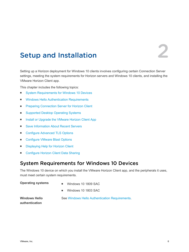## <span id="page-5-0"></span>Setup and Installation

Setting up a Horizon deployment for Windows 10 clients involves configuring certain Connection Server settings, meeting the system requirements for Horizon servers and Windows 10 clients, and installing the VMware Horizon Client app.

This chapter includes the following topics:

- System Requirements for Windows 10 Devices
- **Number 1** [Windows Hello Authentication Requirements](#page-6-0)
- **F** [Preparing Connection Server for Horizon Client](#page-6-0)
- [Supported Desktop Operating Systems](#page-7-0)
- [Install or Upgrade the VMware Horizon Client App](#page-7-0)
- [Save Information About Recent Servers](#page-8-0)
- [Configure Advanced TLS Options](#page-8-0)
- [Configure VMware Blast Options](#page-9-0)
- **n** [Displaying Help for Horizon Client](#page-10-0)
- [Configure Horizon Client Data Sharing](#page-10-0)

## System Requirements for Windows 10 Devices

The Windows 10 device on which you install the VMware Horizon Client app, and the peripherals it uses, must meet certain system requirements.

- **Operating systems n** Windows 10 1809 SAC
	- Windows 10 1803 SAC

**Windows Hello authentication**

See [Windows Hello Authentication Requirements.](#page-6-0)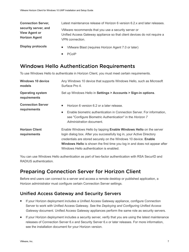<span id="page-6-0"></span>**Connection Server, security server, and View Agent or Horizon Agent** Latest maintenance release of Horizon 6 version 6.2.x and later releases. VMware recommends that you use a security server or Unified Access Gateway appliance so that client devices do not require a VPN connection. **Display protocols n** VMware Blast (requires Horizon Agent 7.0 or later)

- 
- **PCoIP**

## Windows Hello Authentication Requirements

To use Windows Hello to authenticate in Horizon Client, you must meet certain requirements.

| <b>Windows 10 device</b><br>models       | Any Windows 10 device that supports Windows Hello, such as Microsoft<br>Surface Pro 4.                                                                                                                                                                                                                                                                   |
|------------------------------------------|----------------------------------------------------------------------------------------------------------------------------------------------------------------------------------------------------------------------------------------------------------------------------------------------------------------------------------------------------------|
| <b>Operating system</b><br>requirements  | Set up Windows Hello in Settings > Accounts > Sign-in options.                                                                                                                                                                                                                                                                                           |
| <b>Connection Server</b><br>requirements | Horizon 6 version 6.2 or a later release.<br>٠<br>Enable biometric authentication in Connection Server. For information,<br>٠<br>see "Configure Biometric Authentication" in the Horizon 7<br>Administration document.                                                                                                                                   |
| <b>Horizon Client</b><br>requirements    | Enable Windows Hello by tapping <b>Enable Windows Hello</b> on the server<br>login dialog box. After you successfully log in, your Active Directory<br>credentials are stored securely on the Windows 10 device. Enable<br><b>Windows Hello</b> is shown the first time you log in and does not appear after<br>Windows Hello authentication is enabled. |

You can use Windows Hello authentication as part of two-factor authentication with RSA SecurID and RADIUS authentication.

## Preparing Connection Server for Horizon Client

Before end users can connect to a server and access a remote desktop or published application, a Horizon administrator must configure certain Connection Server settings.

## Unified Access Gateway and Security Servers

- **n** If your Horizon deployment includes a Unified Access Gateway appliance, configure Connection Server to work with Unified Access Gateway. See the *Deploying and Configuring Unified Access Gateway* document. Unified Access Gateway appliances perform the same role as security servers.
- <sup>n</sup> If your Horizon deployment includes a security server, verify that you are using the latest maintenance releases of Connection Server 6.x and Security Server 6.x or later releases. For more information, see the installation document for your Horizon version.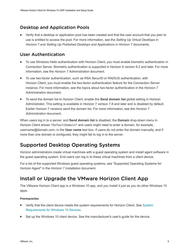## <span id="page-7-0"></span>Desktop and Application Pools

• Verify that a desktop or application pool has been created and that the user account that you plan to use is entitled to access the pool. For more information, see the *Setting Up Virtual Desktops in Horizon 7* and *Setting Up Published Desktops and Applications in Horizon 7* documents.

#### User Authentication

- <sup>n</sup> To use Windows Hello authentication with Horizon Client, you must enable biometric authentication in Connection Server. Biometric authentication is supported in Horizon 6 version 6.2 and later. For more information, see the *Horizon 7 Administration* document.
- To use two-factor authentication, such as RSA SecurID or RADIUS authentication, with Horizon Client, you must enable the two-factor authentication feature for the Connection Server instance. For more information, see the topics about two-factor authentication in the *Horizon 7 Administration* document.
- <sup>n</sup> To send the domain list to Horizon Client, enable the **Send domain list** global setting in Horizon Administrator. This setting is available in Horizon 7 verison 7.8 and later and is disabled by default. Earlier Horizon 7 versions send the domain list. For more information, see the *Horizon 7 Administration* document.

When users log in to a server, and **Send domain list** is disabled, the **Domain** drop-down menu in Horizon Client shows \*DefaultDomain\* and users might need to enter a domain, for example, username@domain.com, in the **User name** text box. If users do not enter the domain manually, and if more than one domain is configured, they might fail to log in to the server.

## Supported Desktop Operating Systems

Horizon administrators create virtual machines with a guest operating system and install agent software in the guest operating system. End users can log in to these virtual machines from a client device.

For a list of the supported Windows guest operating systems, see "Supported Operating Systems for Horizon Agent" in the *Horizon 7 Installation* document.

## Install or Upgrade the VMware Horizon Client App

The VMware Horizon Client app is a Windows 10 app, and you install it just as you do other Windows 10 apps.

#### **Prerequisites**

- **•** Verify that the client device meets the system requirements for Horizon Client. See [System](#page-5-0) [Requirements for Windows 10 Devices](#page-5-0).
- Set up the Windows 10 client device. See the manufacturer's user's quide for the device.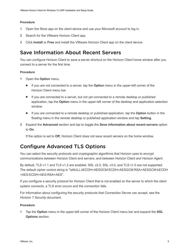#### <span id="page-8-0"></span>Procedure

- **1** Open the Store app on the client device and use your Microsoft account to log in.
- **2** Search for the VMware Horizon Client app.
- **3** Click **Install** or **Free** and install the VMware Horizon Client app on the client device.

## Save Information About Recent Servers

You can configure Horizon Client to save a server shortcut on the Horizon Client home window after you connect to a server for the first time.

#### Procedure

- **1** Open the **Option** menu.
	- n If you are not connected to a server, tap the **Option** menu in the upper-left corner of the Horizon Client menu bar.
	- n If you are connected to a server, but not yet connected to a remote desktop or published application, tap the **Option** menu in the upper-left corner of the desktop and application selection window.
	- n If you are connected to a remote desktop or published application, tap the **Option** button in the floating menu in the remote desktop or published application window and tap **Setting**.
- **2** Expand the **Advanced** section and tap to toggle the **Save information about recent servers** option to **On**.

If the option is set to **Off**, Horizon Client does not save recent servers on the home window.

## Configure Advanced TLS Options

You can select the security protocols and cryptographic algorithms that Horizon uses to encrypt communications between Horizon Client and servers, and between Horizon Client and Horizon Agent.

By default, TLS v1.1 and TLS v1.2 are enabled. SSL v2.0, SSL v3.0, and TLS v1.0 are not supported. The default cipher control string is "!aNULL:kECDH+AESGCM:ECDH+AESGCM:RSA+AESGCM:kECDH +AES:ECDH+AES:RSA+AES".

If you configure a security protocol for Horizon Client that is not enabled on the server to which the client system connects, a TLS error occurs and the connection fails.

For information about configuring the security protocols that Connection Server can accept, see the *Horizon 7 Security* document.

#### Procedure

**1** Tap the **Option** menu in the upper-left corner of the Horizon Client menu bar and expand the **SSL Options** section.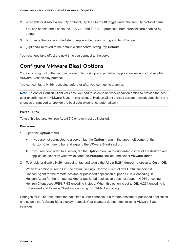<span id="page-9-0"></span>**2** To enable or disable a security protocol, tap the **On** or **Off** toggle under the security protocol name.

You can enable and disable the TLS v1.1 and TLS v1.2 protocols. Both protocols are enabled by default.

- **3** To change the cipher control string, replace the default string and tap **Change**.
- **4** (Optional) To revert to the default cipher control string, tap **Default**.

Your changes take effect the next time you connect to the server.

## Configure VMware Blast Options

You can configure H.264 decoding for remote desktop and published application sessions that use the VMware Blast display protocol.

You can configure H.264 decoding before or after you connect to a server.

**Note** In earlier Horizon Client versions, you had to select a network condition option to provide the best user experience with VMware Blast. In this release, Horizon Client senses current network conditions and chooses a transport to provide the best user experience automatically.

#### Prerequisites

To use this feature, Horizon Agent 7.0 or later must be installed.

#### Procedure

- **1** Open the **Option** menu.
	- If you are not connected to a server, tap the **Option** menu in the upper-left corner of the Horizon Client menu bar and expand the **VMware Blast** section.
	- If you are connected to a server, tap the **Option** menu in the upper-left corner of the desktop and application selection window, expand the **Protocol** section, and select **VMware Blast**.
- **2** To enable or disable H.264 encoding, tap and toggle the **Allow H.264 decoding** option to **On** or **Off**.

When this option is set to **On** (the default setting), Horizon Client allows H.264 encoding if Horizon Agent for the remote desktop or published application supports H.264 encoding. If Horizon Agent for the remote desktop or published application does not support H.264 encoding, Horizon Client uses JPEG/PNG encoding instead. When this option is set to **Off**, H.264 encoding is not allowed and Horizon Client always using JPEG/PNG encoding.

Changes for H.264 take effect the next time a user connects to a remote desktop or published application and selects the VMware Blast display protocol. Your changes do not affect existing VMware Blast sessions.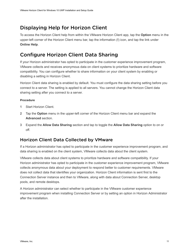## <span id="page-10-0"></span>Displaying Help for Horizon Client

To access the Horizon Client help from within the VMware Horizon Client app, tap the **Option** menu in the upper-left corner of the Horizon Client menu bar, tap the information (**!**) icon, and tap the link under **Online Help**.

## Configure Horizon Client Data Sharing

If your Horizon administrator has opted to participate in the customer experience improvement program, VMware collects and receives anonymous data on client systems to prioritize hardware and software compatibility. You can configure whether to share information on your client system by enabling or disabling a setting in Horizon Client.

Horizon Client data sharing is enabled by default. You must configure the data sharing setting before you connect to a server. The setting is applied to all servers. You cannot change the Horizon Client data sharing setting after you connect to a server.

#### Procedure

- **1** Start Horizon Client.
- **2** Tap the **Option** menu in the upper-left corner of the Horizon Client menu bar and expand the **Advanced** section.
- **3** Expand the **Allow Data Sharing** section and tap to toggle the **Allow Data Sharing** option to on or off.

#### Horizon Client Data Collected by VMware

If a Horizon administrator has opted to participate in the customer experience improvement program, and data sharing is enabled on the client system, VMware collects data about the client system.

VMware collects data about client systems to prioritize hardware and software compatibility. If your Horizon administrator has opted to participate in the customer experience improvement program, VMware collects anonymous data about your deployment to respond better to customer requirements. VMware does not collect data that identifies your organization. Horizon Client information is sent first to the Connection Server instance and then to VMware, along with data about Connection Server, desktop pools, and remote desktops.

A Horizon administrator can select whether to participate in the VMware customer experience improvement program when installing Connection Server or by setting an option in Horizon Administrator after the installation.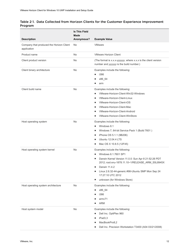|         | Table 2-1. Data Collected from Horizon Clients for the Customer Experience Improvement |  |  |
|---------|----------------------------------------------------------------------------------------|--|--|
| Program |                                                                                        |  |  |

|                                                         | <b>Is This Field</b><br>Made |                                                                                                               |
|---------------------------------------------------------|------------------------------|---------------------------------------------------------------------------------------------------------------|
| <b>Description</b>                                      | Anonymous?                   | <b>Example Value</b>                                                                                          |
| Company that produced the Horizon Client<br>application | No                           | <b>VMware</b>                                                                                                 |
| Product name                                            | No                           | <b>VMware Horizon Client</b>                                                                                  |
| Client product version                                  | No                           | (The format is x.x.x-yyyyyy, where x.x.x is the client version<br>number and yyyyyy is the build number.)     |
| Client binary architecture                              | No                           | Examples include the following:<br>i386<br>п                                                                  |
|                                                         |                              | x86_64<br>п<br>arm<br>г                                                                                       |
| Client build name                                       | No                           | Examples include the following:                                                                               |
|                                                         |                              | VMware-Horizon-Client-Win32-Windows<br>٠                                                                      |
|                                                         |                              | VMware-Horizon-Client-Linux<br>ш                                                                              |
|                                                         |                              | VMware-Horizon-Client-iOS<br>п                                                                                |
|                                                         |                              | VMware-Horizon-Client-Mac<br>٠                                                                                |
|                                                         |                              | VMware-Horizon-Client-Android                                                                                 |
|                                                         |                              | VMware-Horizon-Client-WinStore<br>ш                                                                           |
| Host operating system                                   | No                           | Examples include the following:                                                                               |
|                                                         |                              | Windows 8.1<br>п                                                                                              |
|                                                         |                              | Windows 7, 64-bit Service Pack 1 (Build 7601)<br>п                                                            |
|                                                         |                              | iPhone OS 5.1.1 (9B206)<br>п                                                                                  |
|                                                         |                              | Ubuntu 12.04.4 LTS<br>п                                                                                       |
|                                                         |                              | Mac OS X 10.8.5 (12F45)<br>п                                                                                  |
| Host operating system kernel                            | No                           | Examples include the following:                                                                               |
|                                                         |                              | Windows 6.1.7601 SP1<br>٠                                                                                     |
|                                                         |                              | Darwin Kernel Version 11.0.0: Sun Apr 8 21:52:26 PDT<br>п<br>2012; root:xnu-1878.11.10~1/RELEASE_ARM_S5L8945X |
|                                                         |                              | Darwin 11.4.2<br>п                                                                                            |
|                                                         |                              | Linux 2.6.32-44-generic #98-Ubuntu SMP Mon Sep 24                                                             |
|                                                         |                              | 17:27:10 UTC 2012<br>unknown (for Windows Store)<br>п                                                         |
| Host operating system architecture                      | No                           | Examples include the following:                                                                               |
|                                                         |                              | x86_64                                                                                                        |
|                                                         |                              | i386<br>п                                                                                                     |
|                                                         |                              | armv71                                                                                                        |
|                                                         |                              | <b>ARM</b>                                                                                                    |
| Host system model                                       | No                           | Examples include the following:                                                                               |
|                                                         |                              | Dell Inc. OptiPlex 960<br>п                                                                                   |
|                                                         |                              | iPad3,3<br>ш                                                                                                  |
|                                                         |                              | MacBookPro8,2<br>ш                                                                                            |
|                                                         |                              | Dell Inc. Precision Workstation T3400 (A04 03/21/2008)<br>٠                                                   |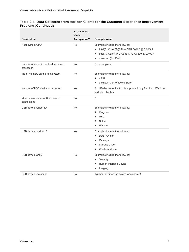#### Table 2-1. Data Collected from Horizon Clients for the Customer Experience Improvement Program (Continued)

|                                                   | <b>Is This Field</b><br><b>Made</b> |                                                                                      |
|---------------------------------------------------|-------------------------------------|--------------------------------------------------------------------------------------|
| <b>Description</b>                                | Anonymous?                          | <b>Example Value</b>                                                                 |
| Host system CPU                                   | <b>No</b>                           | Examples include the following:                                                      |
|                                                   |                                     | Intel(R) Core(TM)2 Duo CPU E8400 @ 3.00GH<br>п                                       |
|                                                   |                                     | Intel(R) Core(TM)2 Quad CPU Q6600 @ 2.40GH<br>ш                                      |
|                                                   |                                     | unknown (for iPad)<br>ш                                                              |
| Number of cores in the host system's<br>processor | No                                  | For example: 4                                                                       |
| MB of memory on the host system                   | <b>No</b>                           | Examples include the following:                                                      |
|                                                   |                                     | 4096<br>٠                                                                            |
|                                                   |                                     | unknown (for Windows Store)                                                          |
| Number of USB devices connected                   | No                                  | 2 (USB device redirection is supported only for Linux, Windows,<br>and Mac clients.) |
| Maximum concurrent USB device<br>connections      | <b>No</b>                           | 2                                                                                    |
| USB device vendor ID                              | <b>No</b>                           | Examples include the following:                                                      |
|                                                   |                                     | Kingston<br>п                                                                        |
|                                                   |                                     | <b>NEC</b>                                                                           |
|                                                   |                                     | Nokia                                                                                |
|                                                   |                                     | Wacom<br>٠                                                                           |
| USB device product ID                             | <b>No</b>                           | Examples include the following:                                                      |
|                                                   |                                     | <b>DataTraveler</b><br>٠                                                             |
|                                                   |                                     | Gamepad<br>ш                                                                         |
|                                                   |                                     | Storage Drive<br>п                                                                   |
|                                                   |                                     | <b>Wireless Mouse</b><br>٠                                                           |
| USB device family                                 | <b>No</b>                           | Examples include the following:                                                      |
|                                                   |                                     | Security<br>п                                                                        |
|                                                   |                                     | Human Interface Device                                                               |
|                                                   |                                     | Imaging<br>п                                                                         |
| USB device use count                              | No                                  | (Number of times the device was shared)                                              |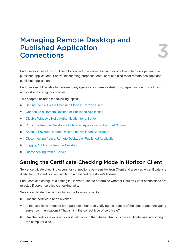# <span id="page-13-0"></span>Managing Remote Desktop and Published Application<br>Connections

End users can use Horizon Client to connect to a server, log in to or off of remote desktops, and use published applications. For troubleshooting purposes, end users can also reset remote desktops and published applications.

End users might be able to perform many operations in remote desktops, depending on how a Horizon administrator configures policies.

This chapter includes the following topics:

- Setting the Certificate Checking Mode in Horizon Client
- [Connect to a Remote Desktop or Published Application](#page-14-0)
- [Disable Windows Hello Authentication for a Server](#page-16-0)
- <sup>n</sup> [Pinning a Remote Desktop or Published Application to the Start Screen](#page-16-0)
- [Select a Favorite Remote Desktop or Published Application](#page-16-0)
- [Disconnecting from a Remote Desktop or Published Application](#page-17-0)
- [Logging Off from a Remote Desktop](#page-17-0)
- [Disconnecting from a Server](#page-18-0)

## Setting the Certificate Checking Mode in Horizon Client

Server certificate checking occurs for connections between Horizon Client and a server. A certificate is a digital form of identification, similar to a passport or a driver's license.

End users can configure a setting in Horizon Client to determine whether Horizon Client connections are rejected if server certificate checking fails.

Server certificate checking includes the following checks:

- Has the certificate been revoked?
- Is the certificate intended for a purpose other than verifying the identity of the sender and encrypting server communications? That is, is it the correct type of certificate?
- Has the certificate expired, or is it valid only in the future? That is, is the certificate valid according to the computer clock?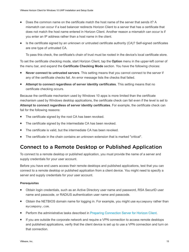- <span id="page-14-0"></span>■ Does the common name on the certificate match the host name of the server that sends it? A mismatch can occur if a load balancer redirects Horizon Client to a server that has a certificate that does not match the host name entered in Horizon Client. Another reason a mismatch can occur is if you enter an IP address rather than a host name in the client.
- **n** Is the certificate signed by an unknown or untrusted certificate authority (CA)? Self-signed certificates are one type of untrusted CA.

To pass this check, the certificate's chain of trust must be rooted in the device's local certificate store.

To set the certificate checking mode, start Horizon Client, tap the **Option** menu in the upper-left corner of the menu bar, and expand the **Certificate Checking Mode** section. You have the following choices:

- **Never connect to untrusted servers**. This setting means that you cannot connect to the server if any of the certificate checks fail. An error message lists the checks that failed.
- **Attempt to connect regardless of server identity certificates**. This setting means that no certificate checking occurs.

Because the certificate mechanism used by Windows 10 apps is more limited than the certificate mechanism used by Windows desktop applications, the certificate check can fail even if the level is set to **Attempt to connect regardless of server identity certificates**. For example, the certificate check can fail for the following reasons:

- The certificate signed by the root CA has been revoked.
- The certificate signed by the intermediate CA has been revoked.
- $\blacksquare$  The certificate is valid, but the intermediate CA has been revoked.
- The certificate in the chain contains an unknown extension that is marked "critical".

## Connect to a Remote Desktop or Published Application

To connect to a remote desktop or published application, you must provide the name of a server and supply credentials for your user account.

Before you have end users access their remote desktops and published applications, test that you can connect to a remote desktop or published application from a client device. You might need to specify a server and supply credentials for your user account.

#### **Prerequisites**

- <sup>n</sup> Obtain login credentials, such as an Active Directory user name and password, RSA SecurID user name and passcode, or RADIUS authentication user name and passcode.
- Obtain the NETBIOS domain name for logging in. For example, you might use mycompany rather than mycompany.com.
- **Perform the administrative tasks described in [Preparing Connection Server for Horizon Client](#page-6-0).**
- **If you are outside the corporate network and require a VPN connection to access remote desktops** and published applications, verify that the client device is set up to use a VPN connection and turn on that connection.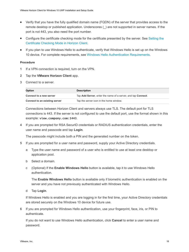- Verify that you have the fully qualified domain name (FQDN) of the server that provides access to the remote desktop or published application. Underscores (\_) are not supported in server names. If the port is not 443, you also need the port number.
- **•** Configure the certificate checking mode for the certificate presented by the server. See [Setting the](#page-13-0) [Certificate Checking Mode in Horizon Client](#page-13-0).
- <sup>n</sup> If you plan to use Windows Hello to authenticate, verify that Windows Hello is set up on the Windows 10 device. For complete requirements, see [Windows Hello Authentication Requirements.](#page-6-0)

#### Procedure

- **1** If a VPN connection is required, turn on the VPN.
- **2** Tap the **VMware Horizon Client** app.
- **3** Connect to a server.

| <b>Option</b>                 | <b>Description</b>                                           |
|-------------------------------|--------------------------------------------------------------|
| Connect to a new server       | Tap Add Server, enter the name of a server, and tap Connect. |
| Connect to an existing server | Tap the server icon in the home window.                      |

Connections between Horizon Client and servers always use TLS. The default port for TLS connections is 443. If the server is not configured to use the default port, use the format shown in this example: **view.company.com:1443**.

**4** If you are prompted for RSA SecurID credentials or RADIUS authentication credentials, enter the user name and passcode and tap **Login**.

The passcode might include both a PIN and the generated number on the token.

- **5** If you are prompted for a user name and password, supply your Active Directory credentials.
	- a Type the user name and password of a user who is entitled to use at least one desktop or application pool.
	- b Select a domain.
	- c (Optional) If the **Enable Windows Hello** button is available, tap it to use Windows Hello authentication.

The **Enable Windows Hello** button is available only if biometric authentication is enabled on the server and you have not previously authenticated with Windows Hello.

d Tap **Login**.

If Windows Hello is enabled and you are logging in for the first time, your Active Directory credentials are stored securely on the Windows 10 device for future use.

**6** If you are prompted for Windows Hello authentication, use your fingerprint, face, iris, or PIN to authenticate.

If you do not want to use Windows Hello authentication, click **Cancel** to enter a user name and password.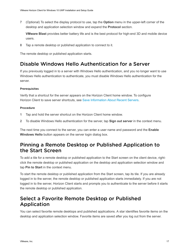<span id="page-16-0"></span>**7** (Optional) To select the display protocol to use, tap the **Option** menu in the upper-left corner of the desktop and application selection window and expand the **Protocol** section.

**VMware Blast** provides better battery life and is the best protocol for high-end 3D and mobile device users.

**8** Tap a remote desktop or published application to connect to it.

The remote desktop or published application starts.

## Disable Windows Hello Authentication for a Server

If you previously logged in to a server with Windows Hello authentication, and you no longer want to use Windows Hello authentication to authenticate, you must disable Windows Hello authentication for the server.

#### Prerequisites

Verify that a shortcut for the server appears on the Horizon Client home window. To configure Horizon Client to save server shortcuts, see [Save Information About Recent Servers](#page-8-0).

#### Procedure

- **1** Tap and hold the server shortcut on the Horizon Client home window.
- **2** To disable Windows Hello authentication for the server, tap **Sign out server** in the context menu.

The next time you connect to the server, you can enter a user name and password and the **Enable Windows Hello** button appears on the server login dialog box.

## Pinning a Remote Desktop or Published Application to the Start Screen

To add a tile for a remote desktop or published application to the Start screen on the client device, rightclick the remote desktop or published application on the desktop and application selection window and tap **Pin to Start** in the context menu.

To start the remote desktop or published application from the Start screen, tap its tile. If you are already logged in to the server, the remote desktop or published application starts immediately. If you are not logged in to the server, Horizon Client starts and prompts you to authenticate to the server before it starts the remote desktop or published application.

## Select a Favorite Remote Desktop or Published Application

You can select favorite remote desktops and published applications. A star identifies favorite items on the desktop and application selection window. Favorite items are saved after you log out from the server.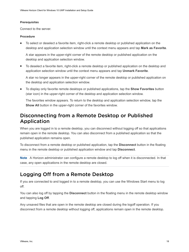#### <span id="page-17-0"></span>Prerequisites

Connect to the server.

#### Procedure

To select or deselect a favorite item, right-click a remote desktop or published application on the desktop and application selection window until the context menu appears and tap **Mark as Favorite**.

A star appears in the upper-right corner of the remote desktop or published application on the desktop and application selection window.

■ To deselect a favorite item, right-click a remote desktop or published application on the desktop and application selection window until the context menu appears and tap **Unmark Favorite**.

A star no longer appears in the upper-right corner of the remote desktop or published application on the desktop and application selection window.

**n** To display only favorite remote desktops or published applications, tap the **Show Favorites** button (star icon) in the upper-right corner of the desktop and application selection window.

The favorites window appears. To return to the desktop and application selection window, tap the **Show All** button in the upper-right corner of the favorites window.

## Disconnecting from a Remote Desktop or Published Application

When you are logged in to a remote desktop, you can disconnect without logging off so that applications remain open in the remote desktop. You can also disconnect from a published application so that the published application remains open.

To disconnect from a remote desktop or published application, tap the **Disconnect** button in the floating menu in the remote desktop or published application window and tap **Disconnect**.

**Note** A Horizon administrator can configure a remote desktop to log off when it is disconnected. In that case, any open applications in the remote desktop are closed.

## Logging Off from a Remote Desktop

If you are connected to and logged in to a remote desktop, you can use the Windows Start menu to log off.

You can also log off by tapping the **Disconnect** button in the floating menu in the remote desktop window and tapping **Log Off**.

Any unsaved files that are open in the remote desktop are closed during the logoff operation. If you disconnect from a remote desktop without logging off, applications remain open in the remote desktop.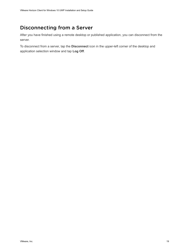## <span id="page-18-0"></span>Disconnecting from a Server

After you have finished using a remote desktop or published application, you can disconnect from the server.

To disconnect from a server, tap the **Disconnect** icon in the upper-left corner of the desktop and application selection window and tap **Log Off**.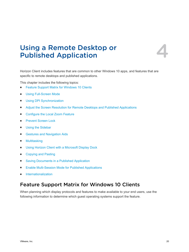# <span id="page-19-0"></span>Using a Remote Desktop or<br>
Published Application

Horizon Client includes features that are common to other Windows 10 apps, and features that are specific to remote desktops and published applications.

This chapter includes the following topics:

- Feature Support Matrix for Windows 10 Clients
- **No. [Using Full-Screen Mode](#page-22-0)**
- **n** [Using DPI Synchronization](#page-22-0)
- <sup>n</sup> [Adjust the Screen Resolution for Remote Desktops and Published Applications](#page-23-0)
- [Configure the Local Zoom Feature](#page-24-0)
- **n** [Prevent Screen Lock](#page-24-0)
- **u** [Using the Sidebar](#page-24-0)
- [Gestures and Navigation Aids](#page-25-0)
- **n** [Multitasking](#page-26-0)
- [Using Horizon Client with a Microsoft Display Dock](#page-26-0)
- [Copying and Pasting](#page-26-0)
- [Saving Documents in a Published Application](#page-27-0)
- [Enable Multi-Session Mode for Published Applications](#page-28-0)
- **n** [Internationalization](#page-28-0)

## Feature Support Matrix for Windows 10 Clients

When planning which display protocols and features to make available to your end users, use the following information to determine which guest operating systems support the feature.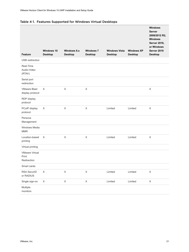| <b>Feature</b>                                | Windows 10<br><b>Desktop</b> | Windows 8.x<br><b>Desktop</b> | <b>Windows 7</b><br><b>Desktop</b> | <b>Windows Vista</b><br><b>Desktop</b> | <b>Windows XP</b><br><b>Desktop</b> | <b>Windows</b><br><b>Server</b><br>2008/2012 R2,<br><b>Windows</b><br><b>Server 2016,</b><br>or Windows<br>Server 2019<br><b>Desktop</b> |
|-----------------------------------------------|------------------------------|-------------------------------|------------------------------------|----------------------------------------|-------------------------------------|------------------------------------------------------------------------------------------------------------------------------------------|
| USB redirection                               |                              |                               |                                    |                                        |                                     |                                                                                                                                          |
| Real-Time<br>Audio-Video<br>(RTAV)            |                              |                               |                                    |                                        |                                     |                                                                                                                                          |
| Serial port<br>redirection                    |                              |                               |                                    |                                        |                                     |                                                                                                                                          |
| <b>VMware Blast</b><br>display protocol       | $\times$                     | X                             | X                                  |                                        |                                     | X                                                                                                                                        |
| RDP display<br>protocol                       |                              |                               |                                    |                                        |                                     |                                                                                                                                          |
| PCoIP display<br>protocol                     | X                            | X                             | X                                  | Limited                                | Limited                             | X                                                                                                                                        |
| Persona<br>Management                         |                              |                               |                                    |                                        |                                     |                                                                                                                                          |
| Windows Media<br><b>MMR</b>                   |                              |                               |                                    |                                        |                                     |                                                                                                                                          |
| Location-based<br>printing                    | X                            | X                             | $\times$                           | Limited                                | Limited                             | $\times$                                                                                                                                 |
| Virtual printing                              |                              |                               |                                    |                                        |                                     |                                                                                                                                          |
| <b>VMware Virtual</b><br>Print<br>Redirection |                              |                               |                                    |                                        |                                     |                                                                                                                                          |
| Smart cards                                   |                              |                               |                                    |                                        |                                     |                                                                                                                                          |
| RSA SecurID<br>or RADIUS                      | $\mathsf X$                  | $\mathsf X$                   | $\mathsf X$                        | Limited                                | Limited                             | $\mathsf X$                                                                                                                              |
| Single sign-on                                | $\mathsf X$                  | $\mathsf X$                   | $\mathsf X$                        | Limited                                | Limited                             | $\mathsf X$                                                                                                                              |
| Multiple<br>monitors                          |                              |                               |                                    |                                        |                                     |                                                                                                                                          |

#### Table 4‑1. Features Supported for Windows Virtual Desktops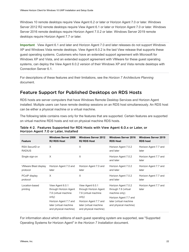Windows 10 remote desktops require View Agent 6.2 or later or Horizon Agent 7.0 or later. Windows Server 2012 R2 remote desktops require View Agent 6.1 or later or Horizon Agent 7.0 or later. Windows Server 2016 remote desktops require Horizon Agent 7.0.2 or later. Windows Server 2019 remote desktops require Horizon Agent 7.7 or later.

**Important** View Agent 6.1 and later and Horizon Agent 7.0 and later releases do not support Windows XP and Windows Vista remote desktops. View Agent 6.0.2 is the last View release that supports these guest operating systems. Customers who have an extended support agreement with Microsoft for Windows XP and Vista, and an extended support agreement with VMware for these guest operating systems, can deploy the View Agent 6.0.2 version of their Windows XP and Vista remote desktops with Connection Server 6.1.

For descriptions of these features and their limitations, see the *Horizon 7 Architecture Planning* document.

## Feature Support for Published Desktops on RDS Hosts

RDS hosts are server computers that have Windows Remote Desktop Services and Horizon Agent installed. Multiple users can have remote desktop sessions on an RDS host simultaneously. An RDS host can be either a physical machine or a virtual machine.

The following table contains rows only for the features that are supported. Certain features are supported on virtual machine RDS hosts and not on physical machine RDS hosts.

| Feature                          | <b>Windows Server 2008</b><br><b>R2 RDS Host</b>                                                                                                       | <b>Windows Server 2012</b><br><b>R2 RDS Host</b>                                                                                                       | <b>Windows Server 2016</b><br><b>RDS Host</b>                                                                                            | <b>Windows Server 2019</b><br><b>RDS host</b> |
|----------------------------------|--------------------------------------------------------------------------------------------------------------------------------------------------------|--------------------------------------------------------------------------------------------------------------------------------------------------------|------------------------------------------------------------------------------------------------------------------------------------------|-----------------------------------------------|
| RSA SecuriD or<br><b>RADIUS</b>  | X                                                                                                                                                      | X                                                                                                                                                      | Horizon Agent 7.0.2<br>and later                                                                                                         | Horizon Agent 7.7 and<br>later                |
| Single sign-on                   | X                                                                                                                                                      | X                                                                                                                                                      | Horizon Agent 7.0.2<br>and later                                                                                                         | Horizon Agent 7.7 and<br>later                |
| VMware Blast display<br>protocol | Horizon Agent 7.0 and<br>later                                                                                                                         | Horizon Agent 7.0 and<br>later                                                                                                                         | Horizon Agent 7.0.2<br>and later                                                                                                         | Horizon Agent 7.7 and<br>later                |
| PCoIP display<br>protocol        | X                                                                                                                                                      | X                                                                                                                                                      | Horizon Agent 7.0.2<br>and later                                                                                                         | Horizon Agent 7.7 and<br>later                |
| Location-based<br>printing       | View Agent 6.0.1<br>through Horizon Agent<br>7.6 (virtual machine<br>only)<br>Horizon Agent 7.7 and<br>later (virtual machine<br>and physical machine) | View Agent 6.0.1<br>through Horizon Agent<br>7.6 (virtual machine<br>only)<br>Horizon Agent 7.7 and<br>later (virtual machine<br>and physical machine) | Horizon Agent 7.0.2<br>through 7.6 (virtual<br>machine only)<br>Horizon Agent 7.7 and<br>later (virtual machine<br>and physical machine) | Horizon Agent 7.7 and<br>later                |

#### Table 4‑2. Features Supported for RDS Hosts with View Agent 6.0.x or Later, or Horizon Agent 7.0 or Later, Installed

For information about which editions of each guest operating system are supported, see "Supported Operating Systems for Horizon Agent" in the *Horizon 7 Installation* document.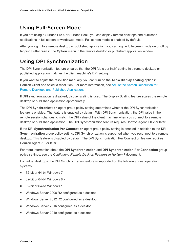## <span id="page-22-0"></span>Using Full-Screen Mode

If you are using a Surface Pro 4 or Surface Book, you can display remote desktops and published applications in full-screen or windowed mode. Full-screen mode is enabled by default.

After you log in to a remote desktop or published application, you can toggle full-screen mode on or off by tapping **Fullscreen** in the **Option** menu in the remote desktop or published application window.

## Using DPI Synchronization

The DPI Synchronization feature ensures that the DPI (dots per inch) setting in a remote desktop or published application matches the client machine's DPI setting.

If you want to adjust the resolution manually, you can turn off the **Allow display scaling** option in Horizon Client and select a resolution. For more information, see [Adjust the Screen Resolution for](#page-23-0) [Remote Desktops and Published Applications](#page-23-0).

If DPI synchronization is disabled, display scaling is used. The Display Scaling feature scales the remote desktop or published application appropriately.

The **DPI Synchronization** agent group policy setting determines whether the DPI Synchronization feature is enabled. The feature is enabled by default. With DPI Synchronization, the DPI value in the remote session changes to match the DPI value of the client machine when you connect to a remote desktop or published application. The DPI Synchronization feature requires Horizon Agent 7.0.2 or later.

If the **DPI Synchronization Per Connection** agent group policy setting is enabled in addition to the **DPI Synchronization** group policy setting, DPI Synchronization is supported when you reconnect to a remote desktop. This feature is disabled by default. The DPI Synchronization Per Connection feature requires Horizon Agent 7.8 or later.

For more information about the **DPI Synchronization** and **DPI Synchronization Per Connection** group policy settings, see the *Configuring Remote Desktop Features in Horizon 7* document.

For virtual desktops, the DPI Synchronization feature is supported on the following guest operating systems:

- 32-bit or 64-bit Windows 7
- 32-bit or 64-bit Windows 8.x
- 32-bit or 64-bit Windows 10
- Windows Server 2008 R2 configured as a desktop
- Windows Server 2012 R2 configured as a desktop
- Windows Server 2016 configured as a desktop
- Windows Server 2019 configured as a desktop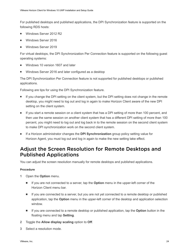<span id="page-23-0"></span>For published desktops and published applications, the DPI Synchronization feature is supported on the following RDS hosts:

- Windows Server 2012 R2
- Windows Server 2016
- Windows Server 2019

For virtual desktops, the DPI Synchronization Per Connection feature is supported on the following guest operating systems:

- Windows 10 version 1607 and later
- Windows Server 2016 and later configured as a desktop

The DPI Synchronization Per Connection feature is not supported for published desktops or published applications.

Following are tips for using the DPI Synchronization feature.

- If you change the DPI setting on the client system, but the DPI setting does not change in the remote desktop, you might need to log out and log in again to make Horizon Client aware of the new DPI setting on the client system.
- **n** If you start a remote session on a client system that has a DPI setting of more than 100 percent, and then use the same session on another client system that has a different DPI setting of more than 100 percent, you might need to log out and log back in to the remote session on the second client system to make DPI synchronization work on the second client system.
- **n** If a Horizon administrator changes the **DPI Synchronization** group policy setting value for Horizon Agent, you must log out and log in again to make the new setting take effect.

## Adjust the Screen Resolution for Remote Desktops and Published Applications

You can adjust the screen resolution manually for remote desktops and published applications.

#### Procedure

- **1** Open the **Option** menu.
	- n If you are not connected to a server, tap the **Option** menu in the upper-left corner of the Horizon Client menu bar.
	- n If you are connected to a server, but you are not yet connected to a remote desktop or published application, tap the **Option** menu in the upper-left corner of the desktop and application selection window.
	- n If you are connected to a remote desktop or published application, tap the **Option** button in the floating menu and tap **Setting**.
- **2** Toggle the **Allow display scaling** option to **Off**.
- **3** Select a resolution mode.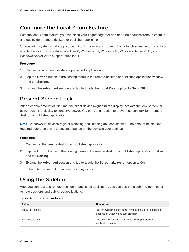## <span id="page-24-0"></span>Configure the Local Zoom Feature

With the local zoom feature, you can pinch your fingers together and apart on a touchscreen to zoom in and out inside a remote desktop or published application.

On operating systems that support touch input, zoom in and zoom out on a touch screen work only if you enable the local zoom feature. Windows 8, Windows 8.1, Windows 10, Windows Server 2012, and Windows Server 2016 support touch input.

#### Procedure

- **1** Connect to a remote desktop or published application.
- **2** Tap the **Option** button in the floating menu in the remote desktop or published application window and tap **Setting**.
- **3** Expand the **Advanced** section and tap to toggle the **Local Zoom** option to **On** or **Off**.

## Prevent Screen Lock

After a certain amount of idle time, the client device might dim the display, activate the lock screen, or power down the display to conserve power. You can set an option to prevent screen lock for a remote desktop or published application.

**Note** Windows 10 devices register watching and listening as user idle time. The amount of idle time required before screen lock occurs depends on the device's user settings.

#### Procedure

- **1** Connect to the remote desktop or published application.
- **2** Tap the **Option** button in the floating menu in the remote desktop or published application window and tap **Setting**.
- **3** Expand the **Advanced** section and tap to toggle the **Screen always on** option to **On**.

If the option is set to **Off**, screen lock may occur.

## Using the Sidebar

After you connect to a remote desktop or published application, you can use the sidebar to open other remote desktops and published applications.

| <b>Action</b>    | <b>Description</b>                                                                                     |
|------------------|--------------------------------------------------------------------------------------------------------|
| Show the sidebar | Tap the <b>Option</b> button in the remote desktop or published<br>application window and tap Sidebar. |
| Hide the sidebar | Tap anywhere inside the remote desktop or published<br>application window.                             |

#### Table 4‑3. Sidebar Actions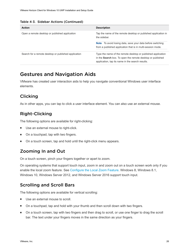<span id="page-25-0"></span>

|  |  |  | Table 4-3. Sidebar Actions (Continued) |
|--|--|--|----------------------------------------|
|--|--|--|----------------------------------------|

| <b>Action</b>                                        | <b>Description</b>                                                             |  |
|------------------------------------------------------|--------------------------------------------------------------------------------|--|
| Open a remote desktop or published application       | Tap the name of the remote desktop or published application in<br>the sidebar. |  |
|                                                      | <b>Note</b> To avoid losing data, save your data before switching              |  |
|                                                      | from a published application that is in multi-session mode.                    |  |
| Search for a remote desktop or published application | Type the name of the remote desktop or published application                   |  |
|                                                      | in the <b>Search</b> box. To open the remote desktop or published              |  |
|                                                      | application, tap its name in the search results.                               |  |

## Gestures and Navigation Aids

VMware has created user interaction aids to help you navigate conventional Windows user interface elements.

#### Clicking

As in other apps, you can tap to click a user interface element. You can also use an external mouse.

## Right-Clicking

The following options are available for right-clicking:

- **Now Use an external mouse to right-click.**
- On a touchpad, tap with two fingers.
- **n** On a touch screen, tap and hold until the right-click menu appears.

#### Zooming In and Out

On a touch screen, pinch your fingers together or apart to zoom.

On operating systems that support touch input, zoom in and zoom out on a touch screen work only if you enable the local zoom feature. See [Configure the Local Zoom Feature.](#page-24-0) Windows 8, Windows 8.1, Windows 10, Windows Server 2012, and Windows Server 2016 support touch input.

#### Scrolling and Scroll Bars

The following options are available for vertical scrolling:

- Use an external mouse to scroll.
- On a touchpad, tap and hold with your thumb and then scroll down with two fingers.
- n On a touch screen, tap with two fingers and then drag to scroll, or use one finger to drag the scroll bar. The text under your fingers moves in the same direction as your fingers.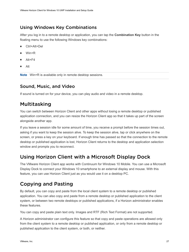#### <span id="page-26-0"></span>Using Windows Key Combinations

After you log in to a remote desktop or application, you can tap the **Combination Key** button in the floating menu to use the following Windows key combinations:

- Ctrl+Alt+Del
- $W$ in+R
- $Alt+F4$
- $A$ lt

**Note** Win+R is available only in remote desktop sessions.

#### Sound, Music, and Video

If sound is turned on for your device, you can play audio and video in a remote desktop.

## Multitasking

You can switch between Horizon Client and other apps without losing a remote desktop or published application connection, and you can resize the Horizon Client app so that it takes up part of the screen alongside another app.

If you leave a session idle for some amount of time, you receive a prompt before the session times out, asking if you want to keep the session alive. To keep the session alive, tap or click anywhere on the screen, or press a key on your keyboard. If enough time has passed so that the connection to the remote desktop or published application is lost, Horizon Client returns to the desktop and application selection window and prompts you to reconnect.

## Using Horizon Client with a Microsoft Display Dock

The VMware Horizon Client app works with Continuum for Windows 10 Mobile. You can use a Microsoft Display Dock to connect your Windows 10 smartphone to an external display and mouse. With this feature, you can use Horizon Client just as you would use it on a desktop PC.

## Copying and Pasting

By default, you can copy and paste from the local client system to a remote desktop or published application. You can also copy and paste from a remote desktop or published application to the client system, or between two remote desktops or published applications, if a Horizon administrator enables these features.

You can copy and paste plain text only. Images and RTF (Rich Text Format) are not supported.

A Horizon administrator can configure this feature so that copy and paste operations are allowed only from the client system to a remote desktop or published application, or only from a remote desktop or published application to the client system, or both, or neither.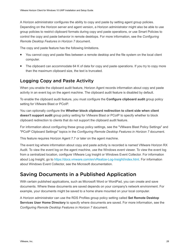<span id="page-27-0"></span>A Horizon administrator configures the ability to copy and paste by setting agent group policies. Depending on the Horizon server and agent version, a Horizon administrator might also be able to use group policies to restrict clipboard formats during copy and paste operations, or use Smart Policies to control the copy and paste behavior in remote desktops. For more information, see the *Configuring Remote Desktop Features in Horizon 7* document.

The copy and paste feature has the following limitations.

- You cannot copy and paste files between a remote desktop and the file system on the local client computer.
- The clipboard can accommodate 64 K of data for copy and paste operations. If you try to copy more than the maximum clipboard size, the text is truncated.

#### Logging Copy and Paste Activity

When you enable the clipboard audit feature, Horizon Agent records information about copy and paste activity in an event log on the agent machine. The clipboard audit feature is disabled by default.

To enable the clipboard audit feature, you must configure the **Configure clipboard audit** group policy setting for VMware Blast or PCoIP.

You can optionally configure the **Whether block clipboard redirection to client side when client doesn't support audit** group policy setting for VMware Blast or PCoIP to specify whether to block clipboard redirection to clients that do not support the clipboard audit feature.

For information about configuring these group policy settings, see the "VMware Blast Policy Settings" and "PCoIP Clipboard Settings" topics in the *Configuring Remote Desktop Features in Horizon 7* document.

This feature requires Horizon Agent 7.7 or later on the agent machine.

The event log where information about copy and paste activity is recorded is named VMware Horizon RX Audit. To view the event log on the agent machine, use the Windows event viewer. To view the event log from a centralized location, configure VMware Log Insight or Windows Event Collector. For information about Log Insight, go to<https://docs.vmware.com/en/vRealize-Log-Insight/index.html>. For information about Windows Event Collector, see the Microsoft documentation.

## Saving Documents in a Published Application

With certain published applications, such as Microsoft Word or WordPad, you can create and save documents. Where these documents are saved depends on your company's network environment. For example, your documents might be saved to a home share mounted on your local computer.

A Horizon administrator can use the RDS Profiles group policy setting called **Set Remote Desktop Services User Home Directory** to specify where documents are saved. For more information, see the *Configuring Remote Desktop Features in Horizon 7* document.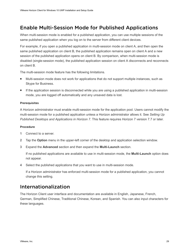## <span id="page-28-0"></span>Enable Multi-Session Mode for Published Applications

When multi-session mode is enabled for a published application, you can use multiple sessions of the same published application when you log on to the server from different client devices.

For example, if you open a published application in multi-session mode on client A, and then open the same published application on client B, the published application remains open on client A and a new session of the published application opens on client B. By comparison, when multi-session mode is disabled (single-session mode), the published application session on client A disconnects and reconnects on client B.

The multi-session mode feature has the following limitations.

- Multi-session mode does not work for applications that do not support multiple instances, such as Skype for Business.
- If the application session is disconnected while you are using a published application in multi-session mode, you are logged off automatically and any unsaved data is lost.

#### Prerequisites

A Horizon administrator must enable multi-session mode for the application pool. Users cannot modify the multi-session mode for a published application unless a Horizon administrator allows it. See *Setting Up Published Desktops and Applications in Horizon 7*. This feature requires Horizon 7 version 7.7 or later.

#### Procedure

- **1** Connect to a server.
- **2** Tap the **Option** menu in the upper-left corner of the desktop and application selection window.
- **3** Expand the **Advanced** section and then expand the **Multi-Launch** section.

If no published applications are available to use in multi-session mode, the **Multi-Launch** option does not appear.

**4** Select the published applications that you want to use in multi-session mode.

If a Horizon administrator has enforced multi-session mode for a published application, you cannot change this setting.

## Internationalization

The Horizon Client user interface and documentation are available in English, Japanese, French, German, Simplified Chinese, Traditional Chinese, Korean, and Spanish. You can also input characters for these languages.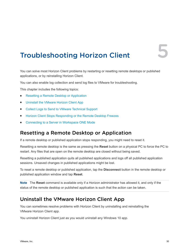## <span id="page-29-0"></span>Troubleshooting Horizon Client 5

You can solve most Horizon Client problems by restarting or resetting remote desktops or published applications, or by reinstalling Horizon Client.

You can also enable log collection and send log files to VMware for troubleshooting.

This chapter includes the following topics:

- Resetting a Remote Desktop or Application
- Uninstall the VMware Horizon Client App
- [Collect Logs to Send to VMware Technical Support](#page-30-0)
- <sup>n</sup> [Horizon Client Stops Responding or the Remote Desktop Freezes](#page-31-0)
- [Connecting to a Server in Workspace ONE Mode](#page-31-0)

#### Resetting a Remote Desktop or Application

If a remote desktop or published application stops responding, you might need to reset it.

Resetting a remote desktop is the same as pressing the **Reset** button on a physical PC to force the PC to restart. Any files that are open on the remote desktop are closed without being saved.

Resetting a published application quits all published applications and logs off all published application sessions. Unsaved changes in published applications might be lost.

To reset a remote desktop or published application, tap the **Disconnect** button in the remote desktop or published application window and tap **Reset**.

**Note** The **Reset** command is available only if a Horizon administrator has allowed it, and only if the status of the remote desktop or published application is such that the action can be taken.

## Uninstall the VMware Horizon Client App

You can sometimes resolve problems with Horizon Client by uninstalling and reinstalling the VMware Horizon Client app.

You uninstall Horizon Client just as you would uninstall any Windows 10 app.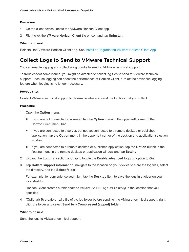#### <span id="page-30-0"></span>Procedure

- **1** On the client device, locate the VMware Horizon Client app.
- **2** Right-click the **VMware Horizon Client** tile or icon and tap **Uninstall**.

#### What to do next

Reinstall the VMware Horizon Client app. See [Install or Upgrade the VMware Horizon Client App.](#page-7-0)

## Collect Logs to Send to VMware Technical Support

You can enable logging and collect a log bundle to send to VMware technical support.

To troubleshoot some issues, you might be directed to collect log files to send to VMware technical support. Because logging can affect the performance of Horizon Client, turn off the advanced logging feature when logging is no longer necessary.

#### **Prerequisites**

Contact VMware technical support to determine where to send the log files that you collect.

#### Procedure

- **1** Open the **Option** menu.
	- n If you are not connected to a server, tap the **Option** menu in the upper-left corner of the Horizon Client menu bar.
	- **n** If you are connected to a server, but not yet connected to a remote desktop or published application, tap the **Option** menu in the upper-left corner of the desktop and application selection window.
	- n If you are connected to a remote desktop or published application, tap the **Option** button in the floating menu in the remote desktop or application window and tap **Setting**.
- **2** Expand the **Logging** section and tap to toggle the **Enable advanced logging** option to **On**.
- **3** Tap **Collect support information**, navigate to the location on your device to store the log files, select the directory, and tap **Select folder**.

For example, for convenience you might tap the **Desktop** item to save the logs in a folder on your local desktop.

Horizon Client creates a folder named vmware-view-logs-*timestamp* in the location that you specified.

**4** (Optional) To create a .zip file of the log folder before sending it to VMware technical support, rightclick the folder and select **Send to > Compressed (zipped) folder**.

#### What to do next

Send the logs to VMware technical support.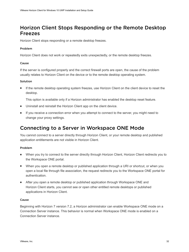## <span id="page-31-0"></span>Horizon Client Stops Responding or the Remote Desktop Freezes

Horizon Client stops responding or a remote desktop freezes.

#### Problem

Horizon Client does not work or repeatedly exits unexpectedly, or the remote desktop freezes.

#### Cause

If the server is configured properly and the correct firewall ports are open, the cause of the problem usually relates to Horizon Client on the device or to the remote desktop operating system.

#### Solution

**n** If the remote desktop operating system freezes, use Horizon Client on the client device to reset the desktop.

This option is available only if a Horizon administrator has enabled the desktop reset feature.

- Uninstall and reinstall the Horizon Client app on the client device.
- **n** If you receive a connection error when you attempt to connect to the server, you might need to change your proxy settings.

## Connecting to a Server in Workspace ONE Mode

You cannot connect to a server directly through Horizon Client, or your remote desktop and published application entitlements are not visible in Horizon Client.

#### Problem

- When you try to connect to the server directly through Horizon Client, Horizon Client redirects you to the Workspace ONE portal.
- **Number 10** When you open a remote desktop or published application through a URI or shortcut, or when you open a local file through file association, the request redirects you to the Workspace ONE portal for authentication.
- **n** After you open a remote desktop or published application through Workspace ONE and Horizon Client starts, you cannot see or open other entitled remote desktops or published applications in Horizon Client.

#### Cause

Beginning with Horizon 7 version 7.2, a Horizon administrator can enable Workspace ONE mode on a Connection Server instance. This behavior is normal when Workspace ONE mode is enabled on a Connection Server instance.